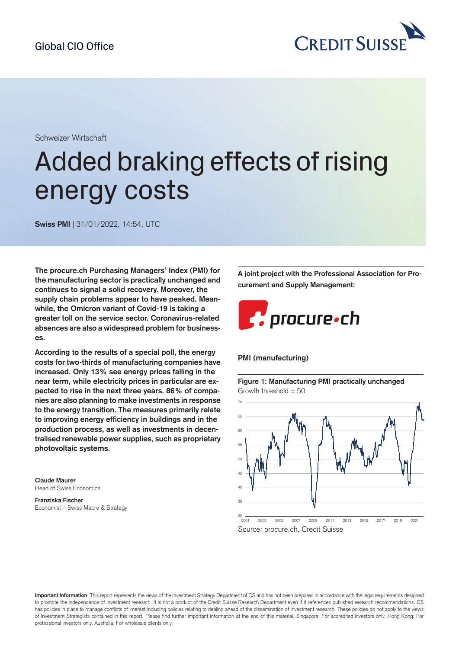

Schweizer Wirtschaft

# Added braking effects of rising energy costs

**Swiss PMI** | 31/01/2022, 14:54, UTC

**The procure.ch Purchasing Managers' Index (PMI) for the manufacturing sector is practically unchanged and continues to signal a solid recovery. Moreover, the supply chain problems appear to have peaked. Meanwhile, the Omicron variant of Covid-19 is taking a greater toll on the service sector. Coronavirus-related absences are also a widespread problem for businesses.**

**According to the results of a special poll, the energy costs for two-thirds of manufacturing companies have increased. Only 13% see energy prices falling in the near term, while electricity prices in particular are expected to rise in the next three years. 86% of companies are also planning to make investments in response to the energy transition. The measures primarily relate to improving energy efficiency in buildings and in the production process, as well as investments in decentralised renewable power supplies, such as proprietary photovoltaic systems.**

**Claude Maurer** Head of Swiss Economics

#### **Franziska Fischer** Economist – Swiss Macro & Strategy

**A joint project with the Professional Association for Procurement and Supply Management:**



#### **PMI (manufacturing)**

**Figure 1: Manufacturing PMI practically unchanged** Growth threshold  $= 50$ 



**Important Information**: This report represents the views of the Investment Strategy Department of CS and has not been prepared in accordance with the legal requirements designed to promote the independence of investment research. It is not a product of the Credit Suisse Research Department even if it references published research recommendations. CS has policies in place to manage conflicts of interest including policies relating to dealing ahead of the dissemination of investment research. These policies do not apply to the views of Investment Strategists contained in this report. Please find further important information at the end of this material. Singapore: For accredited investors only. Hong Kong: For professional investors only. Australia: For wholesale clients only.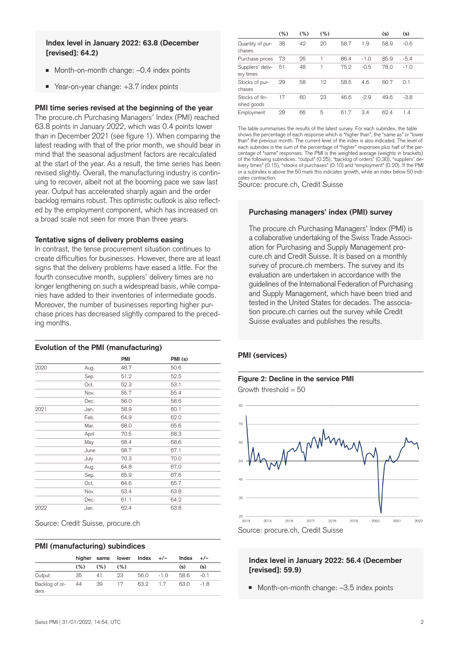#### **Index level in January 2022: 63.8 (December [revised]: 64.2)**

- Month-on-month change:  $-0.4$  index points
- Year-on-year change: +3.7 index points

#### **PMI time series revised at the beginning of the year**

The procure.ch Purchasing Managers' Index (PMI) reached 63.8 points in January 2022, which was 0.4 points lower than in December 2021 (see figure 1). When comparing the latest reading with that of the prior month, we should bear in mind that the seasonal adjustment factors are recalculated at the start of the year. As a result, the time series has been revised slightly. Overall, the manufacturing industry is continuing to recover, albeit not at the booming pace we saw last year. Output has accelerated sharply again and the order backlog remains robust. This optimistic outlook is also reflected by the employment component, which has increased on a broad scale not seen for more than three years.

#### **Tentative signs of delivery problems easing**

In contrast, the tense procurement situation continues to create difficulties for businesses. However, there are at least signs that the delivery problems have eased a little. For the fourth consecutive month, suppliers' delivery times are no longer lengthening on such a widespread basis, while companies have added to their inventories of intermediate goods. Moreover, the number of businesses reporting higher purchase prices has decreased slightly compared to the preceding months.

#### **Evolution of the PMI (manufacturing)**

|      |       | PMI  | PMI (s) |  |
|------|-------|------|---------|--|
|      |       |      |         |  |
| 2020 | Aug.  | 48.7 | 50.6    |  |
|      | Sep.  | 51.2 | 52.5    |  |
|      | Oct.  | 52.3 | 53.1    |  |
|      | Nov.  | 55.7 | 55.4    |  |
|      | Dec.  | 56.0 | 58.6    |  |
| 2021 | Jan.  | 58.9 | 60.1    |  |
|      | Feb.  | 64.9 | 62.0    |  |
|      | Mar.  | 68.0 | 65.6    |  |
|      | April | 70.5 | 68.3    |  |
|      | May   | 68.4 | 68.6    |  |
|      | June  | 68.7 | 67.1    |  |
|      | July  | 70.3 | 70.0    |  |
|      | Aug.  | 64.8 | 67.0    |  |
|      | Sep.  | 65.9 | 67.6    |  |
|      | Oct.  | 64.6 | 65.7    |  |
|      | Nov.  | 63.4 | 63.8    |  |
|      | Dec.  | 61.1 | 64.2    |  |
| 2022 | Jan.  | 62.4 | 63.8    |  |

| Source: Credit Suisse, procure.ch |  |  |  |  |  |
|-----------------------------------|--|--|--|--|--|
|-----------------------------------|--|--|--|--|--|

#### **PMI (manufacturing) subindices**

|                        |      |     |     | higher same lower $Index +/-$ |        | Index | $+/-$  |
|------------------------|------|-----|-----|-------------------------------|--------|-------|--------|
|                        | (% ) | (%) | (%) |                               |        | (s)   | (s)    |
| Output                 | 35   | 41  | 23  | 56.0                          | $-1.0$ | 58.6  | $-0.1$ |
| Backlog of or-<br>ders | - 44 | 39  | 17  | 63.2                          | 1.7    | 63.0  | $-1.8$ |

|                                | (%) | (%) | (%) |      |        | (s)  | (s)    |
|--------------------------------|-----|-----|-----|------|--------|------|--------|
| Quantity of pur-<br>chases     | 38  | 42  | 20  | 58.7 | 1.9    | 58.9 | $-0.6$ |
| Purchase prices                | 73  | 26  |     | 86.4 | $-1.0$ | 85.9 | $-5.4$ |
| Suppliers' deliv-<br>ery times | 51  | 48  |     | 75.2 | $-0.5$ | 78.0 | $-1.0$ |
| Stocks of pur-<br>chases       | 29  | 58  | 12  | 58.5 | 4.6    | 60.7 | 0.1    |
| Stocks of fin-<br>ished goods  | 17  | 60  | 23  | 46.6 | $-2.9$ | 49.6 | $-3.8$ |
| Employment                     | 29  | 66  | 5   | 61.7 | 3.4    | 62.4 | 1.4    |

The table summarises the results of the latest survey. For each subindex, the table shows the percentage of each response which is "higher than", the "same as" or "lower than" the previous month. The current level of the index is also indicated. The level of each subindex is the sum of the percentage of "higher" responses plus half of the percentage of "same" responses. The PMI is the weighted average (weights in brackets) of the following subindices: "output" (0.25), "backlog of orders" (0.30), "suppliers' delivery times" (0.15), "stocks of purchases" (0.10) and "employment" (0.20). If the PMI or a subindex is above the 50 mark this indicates growth, while an index below 50 indicates contraction.

Source: procure.ch, Credit Suisse

#### **Purchasing managers' index (PMI) survey**

The procure.ch Purchasing Managers' Index (PMI) is a collaborative undertaking of the Swiss Trade Association for Purchasing and Supply Management procure.ch and Credit Suisse. It is based on a monthly survey of procure.ch members. The survey and its evaluation are undertaken in accordance with the guidelines of the International Federation of Purchasing and Supply Management, which have been tried and tested in the United States for decades. The association procure.ch carries out the survey while Credit Suisse evaluates and publishes the results.

#### **PMI (services)**

# **Figure 2: Decline in the service PMI**

Growth threshold  $= 50$ 



#### **Index level in January 2022: 56.4 (December [revised]: 59.9)**

■ Month-on-month change: -3.5 index points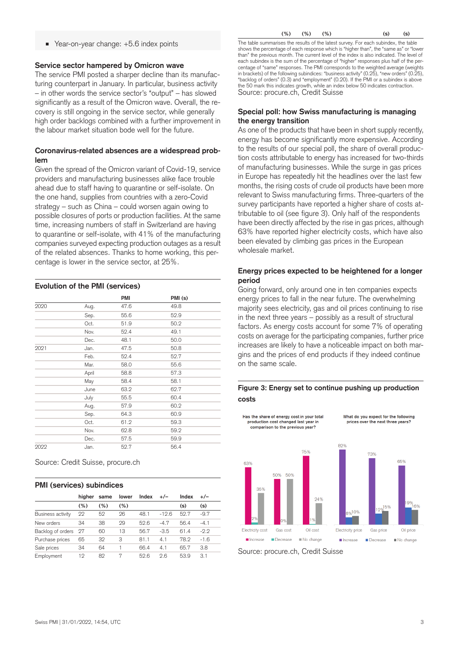#### Year-on-year change: +5.6 index points

#### **Service sector hampered by Omicron wave**

The service PMI posted a sharper decline than its manufacturing counterpart in January. In particular, business activity – in other words the service sector's "output" – has slowed significantly as a result of the Omicron wave. Overall, the recovery is still ongoing in the service sector, while generally high order backlogs combined with a further improvement in the labour market situation bode well for the future.

#### **Coronavirus-related absences are a widespread problem**

Given the spread of the Omicron variant of Covid-19, service providers and manufacturing businesses alike face trouble ahead due to staff having to quarantine or self-isolate. On the one hand, supplies from countries with a zero-Covid strategy – such as China – could worsen again owing to possible closures of ports or production facilities. At the same time, increasing numbers of staff in Switzerland are having to quarantine or self-isolate, with 41% of the manufacturing companies surveyed expecting production outages as a result of the related absences. Thanks to home working, this percentage is lower in the service sector, at 25%.

#### **Evolution of the PMI (services)**

|      |       | PMI  | PMI (s) |  |
|------|-------|------|---------|--|
| 2020 | Aug.  | 47.6 | 49.8    |  |
|      | Sep.  | 55.6 | 52.9    |  |
|      | Oct.  | 51.9 | 50.2    |  |
|      | Nov.  | 52.4 | 49.1    |  |
|      | Dec.  | 48.1 | 50.0    |  |
| 2021 | Jan.  | 47.5 | 50.8    |  |
|      | Feb.  | 52.4 | 52.7    |  |
|      | Mar.  | 58.0 | 55.6    |  |
|      | April | 58.8 | 57.3    |  |
|      | May   | 58.4 | 58.1    |  |
|      | June  | 63.2 | 62.7    |  |
|      | July  | 55.5 | 60.4    |  |
|      | Aug.  | 57.9 | 60.2    |  |
|      | Sep.  | 64.3 | 60.9    |  |
|      | Oct.  | 61.2 | 59.3    |  |
|      | Nov.  | 62.8 | 59.2    |  |
|      | Dec.  | 57.5 | 59.9    |  |
| 2022 | Jan.  | 52.7 | 56.4    |  |

Source: Credit Suisse, procure.ch

#### **PMI (services) subindices**

|                          | hiaher | same    | lower   | Index | $+/-$   | Index | $+/-$  |
|--------------------------|--------|---------|---------|-------|---------|-------|--------|
|                          | (%)    | $(\% )$ | $(\% )$ |       |         | (s)   | (s)    |
| <b>Business activity</b> | 22     | 52      | 26      | 48.1  | $-12.6$ | 52.7  | $-9.7$ |
| New orders               | 34     | 38      | 29      | 52.6  | $-4.7$  | 56.4  | $-4.1$ |
| Backlog of orders        | - 27   | 60      | 13      | 56.7  | $-3.5$  | 61.4  | $-2.2$ |
| Purchase prices          | 65     | 32      | 3       | 81.1  | 4.1     | 78.2  | $-1.6$ |
| Sale prices              | 34     | 64      |         | 66.4  | 4.1     | 65.7  | 3.8    |
| Employment               | 19     | 82      | 7       | 52.6  | 2.6     | 53.9  | 3.1    |

**(%) (%) (%) (s)(s)** The table summarises the results of the latest survey. For each subindex, the table shows the percentage of each response which is "higher than", the "same as" or "lower than" the previous month. The current level of the index is also indicated. The level of each subindex is the sum of the percentage of "higher" responses plus half of the percentage of "same" responses. The PMI corresponds to the weighted average (weights in brackets) of the following subindices: "business activity" (0.25), "new orders" (0.25), "backlog of orders" (0.3) and "employment" (0.20). If the PMI or a subindex is above the 50 mark this indicates growth, while an index below 50 indicates contraction. Source: procure.ch, Credit Suisse

#### **Special poll: how Swiss manufacturing is managing the energy transition**

As one of the products that have been in short supply recently, energy has become significantly more expensive. According to the results of our special poll, the share of overall production costs attributable to energy has increased for two-thirds of manufacturing businesses. While the surge in gas prices in Europe has repeatedly hit the headlines over the last few months, the rising costs of crude oil products have been more relevant to Swiss manufacturing firms. Three-quarters of the survey participants have reported a higher share of costs attributable to oil (see figure 3). Only half of the respondents have been directly affected by the rise in gas prices, although 63% have reported higher electricity costs, which have also been elevated by climbing gas prices in the European wholesale market.

#### **Energy prices expected to be heightened for a longer period**

Going forward, only around one in ten companies expects energy prices to fall in the near future. The overwhelming majority sees electricity, gas and oil prices continuing to rise in the next three years – possibly as a result of structural factors. As energy costs account for some 7% of operating costs on average for the participating companies, further price increases are likely to have a noticeable impact on both margins and the prices of end products if they indeed continue on the same scale.

#### **Figure 3: Energy set to continue pushing up production costs**



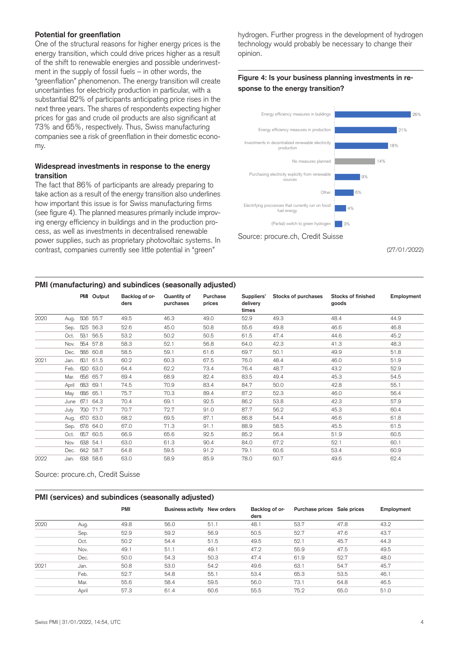#### **Potential for greenflation**

One of the structural reasons for higher energy prices is the energy transition, which could drive prices higher as a result of the shift to renewable energies and possible underinvestment in the supply of fossil fuels – in other words, the "greenflation" phenomenon. The energy transition will create uncertainties for electricity production in particular, with a substantial 82% of participants anticipating price rises in the next three years. The shares of respondents expecting higher prices for gas and crude oil products are also significant at 73% and 65%, respectively. Thus, Swiss manufacturing companies see a risk of greenflation in their domestic economy.

#### **Widespread investments in response to the energy transition**

The fact that 86% of participants are already preparing to take action as a result of the energy transition also underlines how important this issue is for Swiss manufacturing firms (see figure 4). The planned measures primarily include improving energy efficiency in buildings and in the production process, as well as investments in decentralised renewable power supplies, such as proprietary photovoltaic systems. In contrast, companies currently see little potential in "green"

hydrogen. Further progress in the development of hydrogen technology would probably be necessary to change their opinion.

### **Figure 4: Is your business planning investments in response to the energy transition?**



(27/01/2022)

#### **PMI (manufacturing) and subindices (seasonally adjusted)**

|      |       | PMI Output | Backlog of or-<br>ders | Quantity of<br>purchases | Purchase<br>prices | Suppliers'<br>delivery<br>times | Stocks of purchases | Stocks of finished<br>goods | Employment |
|------|-------|------------|------------------------|--------------------------|--------------------|---------------------------------|---------------------|-----------------------------|------------|
| 2020 | Aug.  | 50.6 55.7  | 49.5                   | 46.3                     | 49.0               | 52.9                            | 49.3                | 48.4                        | 44.9       |
|      | Sep.  | 52.5 56.3  | 52.6                   | 45.0                     | 50.8               | 55.6                            | 49.8                | 46.6                        | 46.8       |
|      | Oct.  | 53.1 56.5  | 53.2                   | 50.2                     | 50.5               | 61.5                            | 47.4                | 44.6                        | 45.2       |
|      | Nov.  | 55.4 57.8  | 58.3                   | 52.1                     | 56.8               | 64.0                            | 42.3                | 41.3                        | 48.3       |
|      | Dec.  | 58.6 60.8  | 58.5                   | 59.1                     | 61.6               | 69.7                            | 50.1                | 49.9                        | 51.8       |
| 2021 | Jan.  | 60.1 61.5  | 60.2                   | 60.3                     | 67.5               | 76.0                            | 48.4                | 46.0                        | 51.9       |
|      | Feb.  | 62.0 63.0  | 64.4                   | 62.2                     | 73.4               | 76.4                            | 48.7                | 43.2                        | 52.9       |
|      | Mar.  | 65.6 65.7  | 69.4                   | 68.9                     | 82.4               | 83.5                            | 49.4                | 45.3                        | 54.5       |
|      | April | 68.3 69.1  | 74.5                   | 70.9                     | 83.4               | 84.7                            | 50.0                | 42.8                        | 55.1       |
|      | May   | 68.6 65.1  | 75.7                   | 70.3                     | 89.4               | 87.2                            | 52.3                | 46.0                        | 56.4       |
|      | June  | 67.1 64.3  | 70.4                   | 69.1                     | 92.5               | 86.2                            | 53.8                | 42.3                        | 57.9       |
|      | July  | 70.0 71.7  | 70.7                   | 72.7                     | 91.0               | 87.7                            | 56.2                | 45.3                        | 60.4       |
|      | Aug.  | 67.0 63.0  | 68.2                   | 69.5                     | 87.1               | 86.8                            | 54.4                | 46.6                        | 61.8       |
|      | Sep.  | 67.6 64.0  | 67.0                   | 71.3                     | 91.1               | 88.9                            | 58.5                | 45.5                        | 61.5       |
|      | Oct.  | 65.7 60.5  | 66.9                   | 65.6                     | 92.5               | 85.2                            | 56.4                | 51.9                        | 60.5       |
|      | Nov.  | 638 54.1   | 63.0                   | 61.3                     | 90.4               | 84.0                            | 67.2                | 52.1                        | 60.1       |
|      | Dec.  | 642 58.7   | 64.8                   | 59.5                     | 91.2               | 79.1                            | 60.6                | 53.4                        | 60.9       |
| 2022 | Jan.  | 638 58.6   | 63.0                   | 58.9                     | 85.9               | 78.0                            | 60.7                | 49.6                        | 62.4       |

Source: procure.ch, Credit Suisse

#### **PMI (services) and subindices (seasonally adjusted)**

|      |       | <b>PMI</b> | Business activity New orders |      | Backlog of or-<br>ders | Purchase prices Sale prices |      | Employment |
|------|-------|------------|------------------------------|------|------------------------|-----------------------------|------|------------|
| 2020 | Aug.  | 49.8       | 56.0                         | 51.1 | 48.1                   | 53.7                        | 47.8 | 43.2       |
|      | Sep.  | 52.9       | 59.2                         | 56.9 | 50.5                   | 52.7                        | 47.6 | 43.7       |
|      | Oct.  | 50.2       | 54.4                         | 51.5 | 49.5                   | 52.1                        | 45.7 | 44.3       |
|      | Nov.  | 49.1       | 51.1                         | 49.1 | 47.2                   | 55.9                        | 47.5 | 49.5       |
|      | Dec.  | 50.0       | 54.3                         | 50.3 | 47.4                   | 61.9                        | 52.7 | 48.0       |
| 2021 | Jan.  | 50.8       | 53.0                         | 54.2 | 49.6                   | 63.1                        | 54.7 | 45.7       |
|      | Feb.  | 52.7       | 54.8                         | 55.1 | 53.4                   | 65.3                        | 53.5 | 46.1       |
|      | Mar.  | 55.6       | 58.4                         | 59.5 | 56.0                   | 73.1                        | 64.8 | 46.5       |
|      | April | 57.3       | 61.4                         | 60.6 | 55.5                   | 75.2                        | 65.0 | 51.0       |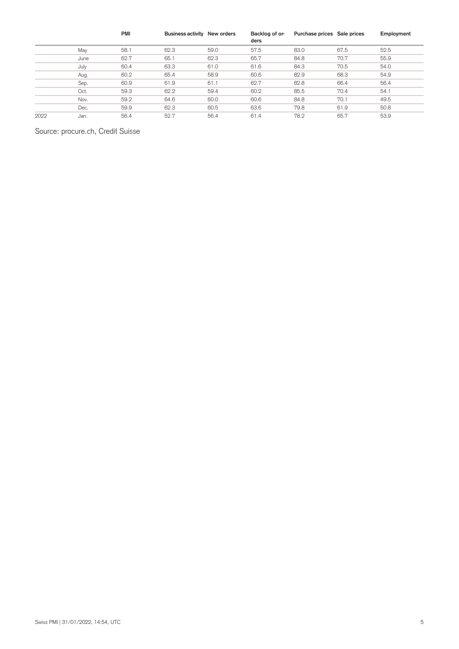|      |      | <b>PMI</b> | Business activity New orders |      | Backlog of or-<br>ders | Purchase prices Sale prices |      | Employment |
|------|------|------------|------------------------------|------|------------------------|-----------------------------|------|------------|
|      | May  | 58.1       | 62.3                         | 59.0 | 57.5                   | 83.0                        | 67.5 | 52.5       |
|      | June | 62.7       | 65.1                         | 62.3 | 65.7                   | 84.8                        | 70.7 | 55.9       |
|      | July | 60.4       | 63.3                         | 61.0 | 61.6                   | 84.3                        | 70.5 | 54.0       |
|      | Aug. | 60.2       | 65.4                         | 58.9 | 60.6                   | 82.9                        | 68.3 | 54.9       |
|      | Sep. | 60.9       | 61.9                         | 61.1 | 62.7                   | 82.8                        | 66.4 | 56.4       |
|      | Oct. | 59.3       | 62.2                         | 59.4 | 60.2                   | 85.5                        | 70.4 | 54.1       |
|      | Nov. | 59.2       | 64.6                         | 60.0 | 60.6                   | 84.8                        | 70.1 | 49.5       |
|      | Dec. | 59.9       | 62.3                         | 60.5 | 63.6                   | 79.8                        | 61.9 | 50.8       |
| 2022 | Jan. | 56.4       | 52.7                         | 56.4 | 61.4                   | 78.2                        | 65.7 | 53.9       |

# Source: procure.ch, Credit Suisse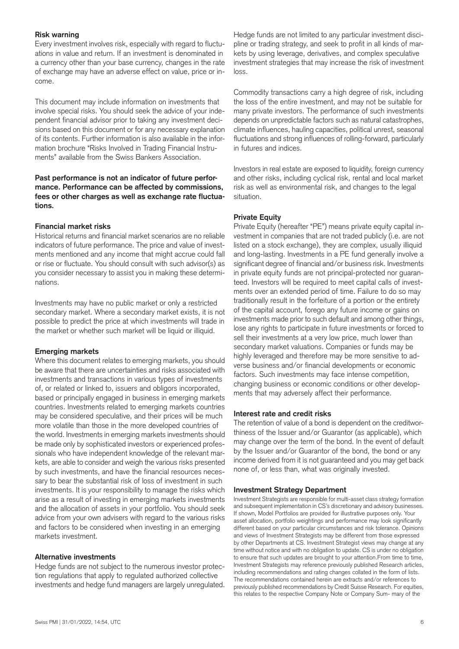#### **Risk warning**

Every investment involves risk, especially with regard to fluctuations in value and return. If an investment is denominated in a currency other than your base currency, changes in the rate of exchange may have an adverse effect on value, price or income.

This document may include information on investments that involve special risks. You should seek the advice of your independent financial advisor prior to taking any investment decisions based on this document or for any necessary explanation of its contents. Further information is also available in the information brochure "Risks Involved in Trading Financial Instruments" available from the Swiss Bankers Association.

#### **Past performance is not an indicator of future performance. Performance can be affected by commissions, fees or other charges as well as exchange rate fluctuations.**

#### **Financial market risks**

Historical returns and financial market scenarios are no reliable indicators of future performance. The price and value of investments mentioned and any income that might accrue could fall or rise or fluctuate. You should consult with such advisor(s) as you consider necessary to assist you in making these determinations.

Investments may have no public market or only a restricted secondary market. Where a secondary market exists, it is not possible to predict the price at which investments will trade in the market or whether such market will be liquid or illiquid.

#### **Emerging markets**

Where this document relates to emerging markets, you should be aware that there are uncertainties and risks associated with investments and transactions in various types of investments of, or related or linked to, issuers and obligors incorporated, based or principally engaged in business in emerging markets countries. Investments related to emerging markets countries may be considered speculative, and their prices will be much more volatile than those in the more developed countries of the world. Investments in emerging markets investments should be made only by sophisticated investors or experienced professionals who have independent knowledge of the relevant markets, are able to consider and weigh the various risks presented by such investments, and have the financial resources necessary to bear the substantial risk of loss of investment in such investments. It is your responsibility to manage the risks which arise as a result of investing in emerging markets investments and the allocation of assets in your portfolio. You should seek advice from your own advisers with regard to the various risks and factors to be considered when investing in an emerging markets investment.

#### **Alternative investments**

Hedge funds are not subject to the numerous investor protection regulations that apply to regulated authorized collective investments and hedge fund managers are largely unregulated.

Hedge funds are not limited to any particular investment discipline or trading strategy, and seek to profit in all kinds of markets by using leverage, derivatives, and complex speculative investment strategies that may increase the risk of investment loss.

Commodity transactions carry a high degree of risk, including the loss of the entire investment, and may not be suitable for many private investors. The performance of such investments depends on unpredictable factors such as natural catastrophes, climate influences, hauling capacities, political unrest, seasonal fluctuations and strong influences of rolling-forward, particularly in futures and indices.

Investors in real estate are exposed to liquidity, foreign currency and other risks, including cyclical risk, rental and local market risk as well as environmental risk, and changes to the legal situation.

#### **Private Equity**

Private Equity (hereafter "PE") means private equity capital investment in companies that are not traded publicly (i.e. are not listed on a stock exchange), they are complex, usually illiquid and long-lasting. Investments in a PE fund generally involve a significant degree of financial and/or business risk. Investments in private equity funds are not principal-protected nor guaranteed. Investors will be required to meet capital calls of investments over an extended period of time. Failure to do so may traditionally result in the forfeiture of a portion or the entirety of the capital account, forego any future income or gains on investments made prior to such default and among other things, lose any rights to participate in future investments or forced to sell their investments at a very low price, much lower than secondary market valuations. Companies or funds may be highly leveraged and therefore may be more sensitive to adverse business and/or financial developments or economic factors. Such investments may face intense competition, changing business or economic conditions or other developments that may adversely affect their performance.

#### **Interest rate and credit risks**

The retention of value of a bond is dependent on the creditworthiness of the Issuer and/or Guarantor (as applicable), which may change over the term of the bond. In the event of default by the Issuer and/or Guarantor of the bond, the bond or any income derived from it is not guaranteed and you may get back none of, or less than, what was originally invested.

#### **Investment Strategy Department**

Investment Strategists are responsible for multi-asset class strategy formation and subsequent implementation in CS's discretionary and advisory businesses. If shown, Model Portfolios are provided for illustrative purposes only. Your asset allocation, portfolio weightings and performance may look significantly different based on your particular circumstances and risk tolerance. Opinions and views of Investment Strategists may be different from those expressed by other Departments at CS. Investment Strategist views may change at any time without notice and with no obligation to update. CS is under no obligation to ensure that such updates are brought to your attention.From time to time, Investment Strategists may reference previously published Research articles, including recommendations and rating changes collated in the form of lists. The recommendations contained herein are extracts and/or references to previously published recommendations by Credit Suisse Research. For equities, this relates to the respective Company Note or Company Sum- mary of the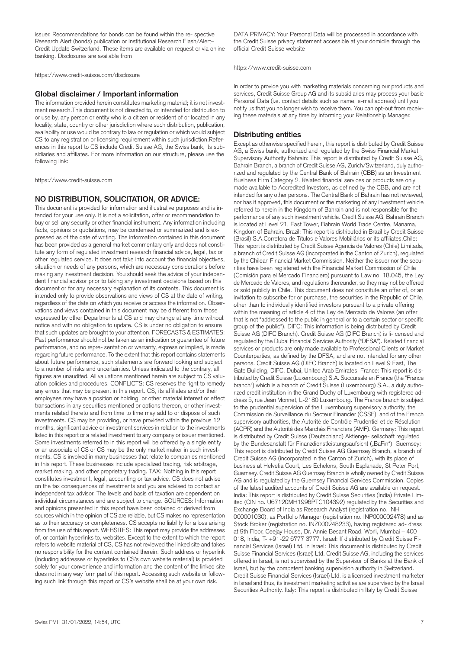issuer. Recommendations for bonds can be found within the re- spective Research Alert (bonds) publication or Institutional Research Flash/Alert– Credit Update Switzerland. These items are available on request or via online banking. Disclosures are available from

https://www.credit-suisse.com/disclosure

#### **Global disclaimer / Important information**

The information provided herein constitutes marketing material; it is not investment research.This document is not directed to, or intended for distribution to or use by, any person or entity who is a citizen or resident of or located in any locality, state, country or other jurisdiction where such distribution, publication, availability or use would be contrary to law or regulation or which would subject CS to any registration or licensing requirement within such jurisdiction.References in this report to CS include Credit Suisse AG, the Swiss bank, its subsidiaries and affiliates. For more information on our structure, please use the following link:

https://www.credit-suisse.com

#### **NO DISTRIBUTION, SOLICITATION, OR ADVICE:**

This document is provided for information and illustrative purposes and is intended for your use only. It is not a solicitation, offer or recommendation to buy or sell any security or other financial instrument. Any information including facts, opinions or quotations, may be condensed or summarized and is expressed as of the date of writing. The information contained in this document has been provided as a general market commentary only and does not constitute any form of regulated investment research financial advice, legal, tax or other regulated service. It does not take into account the financial objectives, situation or needs of any persons, which are necessary considerations before making any investment decision. You should seek the advice of your independent financial advisor prior to taking any investment decisions based on this document or for any necessary explanation of its contents. This document is intended only to provide observations and views of CS at the date of writing, regardless of the date on which you receive or access the information. Observations and views contained in this document may be different from those expressed by other Departments at CS and may change at any time without notice and with no obligation to update. CS is under no obligation to ensure that such updates are brought to your attention. FORECASTS & ESTIMATES: Past performance should not be taken as an indication or guarantee of future performance, and no repre- sentation or warranty, express or implied, is made regarding future performance. To the extent that this report contains statements about future performance, such statements are forward looking and subject to a number of risks and uncertainties. Unless indicated to the contrary, all figures are unaudited. All valuations mentioned herein are subject to CS valuation policies and procedures. CONFLICTS: CS reserves the right to remedy any errors that may be present in this report. CS, its affiliates and/or their employees may have a position or holding, or other material interest or effect transactions in any securities mentioned or options thereon, or other investments related thereto and from time to time may add to or dispose of such investments. CS may be providing, or have provided within the previous 12 months, significant advice or investment services in relation to the investments listed in this report or a related investment to any company or issuer mentioned. Some investments referred to in this report will be offered by a single entity or an associate of CS or CS may be the only market maker in such investments. CS is involved in many businesses that relate to companies mentioned in this report. These businesses include specialized trading, risk arbitrage, market making, and other proprietary trading. TAX: Nothing in this report constitutes investment, legal, accounting or tax advice. CS does not advise on the tax consequences of investments and you are advised to contact an independent tax advisor. The levels and basis of taxation are dependent on individual circumstances and are subject to change. SOURCES: Information and opinions presented in this report have been obtained or derived from sources which in the opinion of CS are reliable, but CS makes no representation as to their accuracy or completeness. CS accepts no liability for a loss arising from the use of this report. WEBSITES: This report may provide the addresses of, or contain hyperlinks to, websites. Except to the extent to which the report refers to website material of CS, CS has not reviewed the linked site and takes no responsibility for the content contained therein. Such address or hyperlink (including addresses or hyperlinks to CS's own website material) is provided solely for your convenience and information and the content of the linked site does not in any way form part of this report. Accessing such website or following such link through this report or CS's website shall be at your own risk.

DATA PRIVACY: Your Personal Data will be processed in accordance with the Credit Suisse privacy statement accessible at your domicile through the official Credit Suisse website

https://www.credit-suisse.com

In order to provide you with marketing materials concerning our products and services, Credit Suisse Group AG and its subsidiaries may process your basic Personal Data (i.e. contact details such as name, e-mail address) until you notify us that you no longer wish to receive them. You can opt-out from receiving these materials at any time by informing your Relationship Manager.

#### **Distributing entities**

Except as otherwise specified herein, this report is distributed by Credit Suisse AG, a Swiss bank, authorized and regulated by the Swiss Financial Market Supervisory Authority Bahrain: This report is distributed by Credit Suisse AG, Bahrain Branch, a branch of Credit Suisse AG, Zurich/Switzerland, duly authorized and regulated by the Central Bank of Bahrain (CBB) as an Investment Business Firm Category 2. Related financial services or products are only made available to Accredited Investors, as defined by the CBB, and are not intended for any other persons. The Central Bank of Bahrain has not reviewed, nor has it approved, this document or the marketing of any investment vehicle referred to herein in the Kingdom of Bahrain and is not responsible for the performance of any such investment vehicle. Credit Suisse AG, Bahrain Branch is located at Level 21, East Tower, Bahrain World Trade Centre, Manama, Kingdom of Bahrain. Brazil: This report is distributed in Brazil by Credit Suisse (Brasil) S.A.Corretora de Títulos e Valores Mobiliários or its affiliates.Chile: This report is distributed by Credit Suisse Agencia de Valores (Chile) Limitada, a branch of Credit Suisse AG (incorporated in the Canton of Zurich), regulated by the Chilean Financial Market Commission. Neither the issuer nor the securities have been registered with the Financial Market Commission of Chile (Comisión para el Mercado Financiero) pursuant to Law no. 18.045, the Ley de Mercado de Valores, and regulations thereunder, so they may not be offered or sold publicly in Chile. This document does not constitute an offer of, or an invitation to subscribe for or purchase, the securities in the Republic of Chile, other than to individually identified investors pursuant to a private offering within the meaning of article 4 of the Ley de Mercado de Valores (an offer that is not "addressed to the public in general or to a certain sector or specific group of the public"). DIFC: This information is being distributed by Credit Suisse AG (DIFC Branch). Credit Suisse AG (DIFC Branch) is li- censed and regulated by the Dubai Financial Services Authority ("DFSA"). Related financial services or products are only made available to Professional Clients or Market Counterparties, as defined by the DFSA, and are not intended for any other persons. Credit Suisse AG (DIFC Branch) is located on Level 9 East, The Gate Building, DIFC, Dubai, United Arab Emirates. France: This report is distributed by Credit Suisse (Luxembourg) S.A. Succursale en France (the "France branch") which is a branch of Credit Suisse (Luxembourg) S.A., a duly authorized credit institution in the Grand Duchy of Luxembourg with registered address 5, rue Jean Monnet, L-2180 Luxembourg. The France branch is subject to the prudential supervision of the Luxembourg supervisory authority, the Commission de Surveillance du Secteur Financier (CSSF), and of the French supervisory authorities, the Autorité de Contrôle Prudentiel et de Résolution (ACPR) and the Autorité des Marchés Financiers (AMF). Germany: This report is distributed by Credit Suisse (Deutschland) Aktienge- sellschaft regulated by the Bundesanstalt für Finanzdienstleistungsaufsicht ("BaFin"). Guernsey: This report is distributed by Credit Suisse AG Guernsey Branch, a branch of Credit Suisse AG (incorporated in the Canton of Zurich), with its place of business at Helvetia Court, Les Echelons, South Esplanade, St Peter Port, Guernsey. Credit Suisse AG Guernsey Branch is wholly owned by Credit Suisse AG and is regulated by the Guernsey Financial Services Commission. Copies of the latest audited accounts of Credit Suisse AG are available on request. India: This report is distributed by Credit Suisse Securities (India) Private Limited (CIN no. U67120MH1996PTC104392) regulated by the Securities and Exchange Board of India as Research Analyst (registration no. INH 000001030), as Portfolio Manager (registration no. INP000002478) and as Stock Broker (registration no. INZ000248233), having registered ad- dress at 9th Floor, Ceejay House, Dr. Annie Besant Road, Worli, Mumbai – 400 018, India, T- +91-22 6777 3777. Israel: If distributed by Credit Suisse Financial Services (Israel) Ltd. in Israel: This document is distributed by Credit Suisse Financial Services (Israel) Ltd. Credit Suisse AG, including the services offered in Israel, is not supervised by the Supervisor of Banks at the Bank of Israel, but by the competent banking supervision authority in Switzerland. Credit Suisse Financial Services (Israel) Ltd. is a licensed investment marketer in Israel and thus, its investment marketing activities are supervised by the Israel Securities Authority. Italy: This report is distributed in Italy by Credit Suisse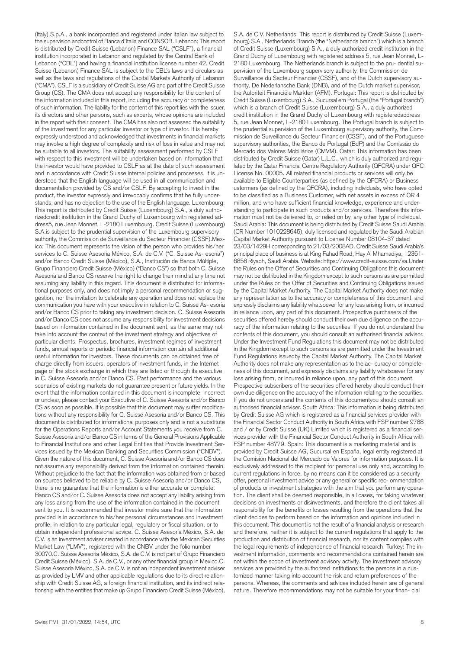(Italy) S.p.A., a bank incorporated and registered under Italian law subject to the supervision andcontrol of Banca d'Italia and CONSOB. Lebanon: This report is distributed by Credit Suisse (Lebanon) Finance SAL ("CSLF"), a financial institution incorporated in Lebanon and regulated by the Central Bank of Lebanon ("CBL") and having a financial institution license number 42. Credit Suisse (Lebanon) Finance SAL is subject to the CBL's laws and circulars as well as the laws and regulations of the Capital Markets Authority of Lebanon ("CMA"). CSLF is a subsidiary of Credit Suisse AG and part of the Credit Suisse Group (CS). The CMA does not accept any responsibility for the content of the information included in this report, including the accuracy or completeness of such information. The liability for the content of this report lies with the issuer, its directors and other persons, such as experts, whose opinions are included in the report with their consent. The CMA has also not assessed the suitability of the investment for any particular investor or type of investor. It is hereby expressly understood and acknowledged that investments in financial markets may involve a high degree of complexity and risk of loss in value and may not be suitable to all investors. The suitability assessment performed by CSLF with respect to this investment will be undertaken based on information that the investor would have provided to CSLF as at the date of such assessment and in accordance with Credit Suisse internal policies and processes. It is understood that the English language will be used in all communication and documentation provided by CS and/or CSLF. By accepting to invest in the product, the investor expressly and irrevocably confirms that he fully understands, and has no objection to the use of the English language. Luxembourg: This report is distributed by Credit Suisse (Luxembourg) S.A., a duly authorizedcredit institution in the Grand Duchy of Luxembourg with registered address5, rue Jean Monnet, L-2180 Luxembourg. Credit Suisse (Luxembourg) S.A.is subject to the prudential supervision of the Luxembourg supervisory authority, the Commission de Surveillance du Secteur Financier (CSSF).Mexico: This document represents the vision of the person who provides his/her services to C. Suisse Asesoría México, S.A. de C.V. ("C. Suisse As- esoría") and/or Banco Credit Suisse (México), S.A., Institución de Banca Múltiple, Grupo Financiero Credit Suisse (México) ("Banco CS") so that both C. Suisse Asesoría and Banco CS reserve the right to change their mind at any time not assuming any liability in this regard. This document is distributed for informational purposes only, and does not imply a personal recommendation or suggestion, nor the invitation to celebrate any operation and does not replace the communication you have with your executive in relation to C. Suisse As- esoría and/or Banco CS prior to taking any investment decision. C. Suisse Asesoría and/or Banco CS does not assume any responsibility for investment decisions based on information contained in the document sent, as the same may not take into account the context of the investment strategy and objectives of particular clients. Prospectus, brochures, investment regimes of investment funds, annual reports or periodic financial information contain all additional useful information for investors. These documents can be obtained free of charge directly from issuers, operators of investment funds, in the Internet page of the stock exchange in which they are listed or through its executive in C. Suisse Asesoría and/or Banco CS. Past performance and the various scenarios of existing markets do not guarantee present or future yields. In the event that the information contained in this document is incomplete, incorrect or unclear, please contact your Executive of C. Suisse Asesoría and/or Banco CS as soon as possible. It is possible that this document may suffer modifications without any responsibility for C. Suisse Asesoría and/or Banco CS. This document is distributed for informational purposes only and is not a substitute for the Operations Reports and/or Account Statements you receive from C. Suisse Asesoría and/or Banco CS in terms of the General Provisions Applicable to Financial Institutions and other Legal Entities that Provide Investment Services issued by the Mexican Banking and Securities Commission ("CNBV"). Given the nature of this document, C. Suisse Asesoría and/or Banco CS does not assume any responsibility derived from the information contained therein. Without prejudice to the fact that the information was obtained from or based on sources believed to be reliable by C. Suisse Asesoría and/or Banco CS, there is no guarantee that the information is either accurate or complete. Banco CS and/or C. Suisse Asesoría does not accept any liability arising from any loss arising from the use of the information contained in the document sent to you. It is recommended that investor make sure that the information provided is in accordance to his/her personal circumstances and investment profile, in relation to any particular legal, regulatory or fiscal situation, or to obtain independent professional advice. C. Suisse Asesoría México, S.A. de C.V. is an investment adviser created in accordance with the Mexican Securities Market Law ("LMV"), registered with the CNBV under the folio number 30070.C. Suisse Asesoría México, S.A. de C.V. is not part of Grupo Financiero Credit Suisse (México), S.A. de C.V., or any other financial group in Mexico.C. Suisse Asesoría México, S.A. de C.V. is not an independent investment adviser as provided by LMV and other applicable regulations due to its direct relationship with Credit Suisse AG, a foreign financial institution, and its indirect relationship with the entities that make up Grupo Financiero Credit Suisse (México),

S.A. de C.V. Netherlands: This report is distributed by Credit Suisse (Luxembourg) S.A., Netherlands Branch (the "Netherlands branch") which is a branch of Credit Suisse (Luxembourg) S.A., a duly authorized credit institution in the Grand Duchy of Luxembourg with registered address 5, rue Jean Monnet, L-2180 Luxembourg. The Netherlands branch is subject to the pru- dential supervision of the Luxembourg supervisory authority, the Commission de Surveillance du Secteur Financier (CSSF), and of the Dutch supervisory authority, De Nederlansche Bank (DNB), and of the Dutch market supervisor, the Autoriteit Financiële Markten (AFM). Portugal: This report is distributed by Credit Suisse (Luxembourg) S.A., Sucursal em Portugal (the "Portugal branch") which is a branch of Credit Suisse (Luxembourg) S.A., a duly authorized credit institution in the Grand Duchy of Luxembourg with registeredaddress 5, rue Jean Monnet, L-2180 Luxembourg. The Portugal branch is subject to the prudential supervision of the Luxembourg supervisory authority, the Commission de Surveillance du Secteur Financier (CSSF), and of the Portuguese supervisory authorities, the Banco de Portugal (BdP) and the Comissão do Mercado dos Valores Mobiliários (CMVM). Qatar: This information has been distributed by Credit Suisse (Qatar) L.L.C., which is duly authorized and regulated by the Qatar Financial Centre Regulatory Authority (QFCRA) under QFC License No. 00005. All related financial products or services will only be available to Eligible Counterparties (as defined by the QFCRA) or Business ustormers (as defined by the QFCRA), including individuals, who have opted to be classified as a Business Customer, with net assets in excess of QR 4 million, and who have sufficient financial knowledge, experience and understanding to participate in such products and/or services. Therefore this information must not be delivered to, or relied on by, any other type of individual. Saudi Arabia: This document is being distributed by Credit Suisse Saudi Arabia (CR Number 1010228645), duly licensed and regulated by the Saudi Arabian Capital Market Authority pursuant to License Number 08104-37 dated 23/03/1429H corresponding to 21/03/2008AD. Credit Suisse Saudi Arabia's principal place of business is at King Fahad Road, Hay Al Mhamadiya, 12361- 6858 Riyadh, Saudi Arabia. Website: https://www.credit-suisse.com/sa.Under the Rules on the Offer of Securities and Continuing Obligations this document may not be distributed in the Kingdom except to such persons as are permitted under the Rules on the Offer of Securities and Continuing Obligations issued by the Capital Market Authority. The Capital Market Authority does not make any representation as to the accuracy or completeness of this document, and expressly disclaims any liability whatsoever for any loss arising from, or incurred in reliance upon, any part of this document. Prospective purchasers of the securities offered hereby should conduct their own due diligence on the accuracy of the information relating to the securities. If you do not understand the contents of this document, you should consult an authorised financial advisor. Under the Investment Fund Regulations this document may not be distributed in the Kingdom except to such persons as are permitted under the Investment Fund Regulations issuedby the Capital Market Authority. The Capital Market Authority does not make any representation as to the ac- curacy or completeness of this document, and expressly disclaims any liability whatsoever for any loss arising from, or incurred in reliance upon, any part of this document. Prospective subscribers of the securities offered hereby should conduct their own due diligence on the accuracy of the information relating to the securities. If you do not understand the contents of this documentyou should consult an authorised financial adviser. South Africa: This information is being distributed by Credit Suisse AG which is registered as a financial services provider with the Financial Sector Conduct Authority in South Africa with FSP number 9788 and / or by Credit Suisse (UK) Limited which is registered as a financial services provider with the Financial Sector Conduct Authority in South Africa with FSP number 48779. Spain: This document is a marketing material and is provided by Credit Suisse AG, Sucursal en España, legal entity registered at the Comisión Nacional del Mercado de Valores for information purposes. It is exclusively addressed to the recipient for personal use only and, according to current regulations in force, by no means can it be considered as a security offer, personal investment advice or any general or specific rec- ommendation of products or investment strategies with the aim that you perform any operation. The client shall be deemed responsible, in all cases, for taking whatever decisions on investments or disinvestments, and therefore the client takes all responsibility for the benefits or losses resulting from the operations that the client decides to perform based on the information and opinions included in this document. This document is not the result of a financial analysis or research and therefore, neither it is subject to the current regulations that apply to the production and distribution of financial research, nor its content complies with the legal requirements of independence of financial research. Turkey: The investment information, comments and recommendations contained herein are not within the scope of investment advisory activity. The investment advisory services are provided by the authorized institutions to the persons in a customized manner taking into account the risk and return preferences of the persons. Whereas, the comments and advices included herein are of general nature. Therefore recommendations may not be suitable for your finan- cial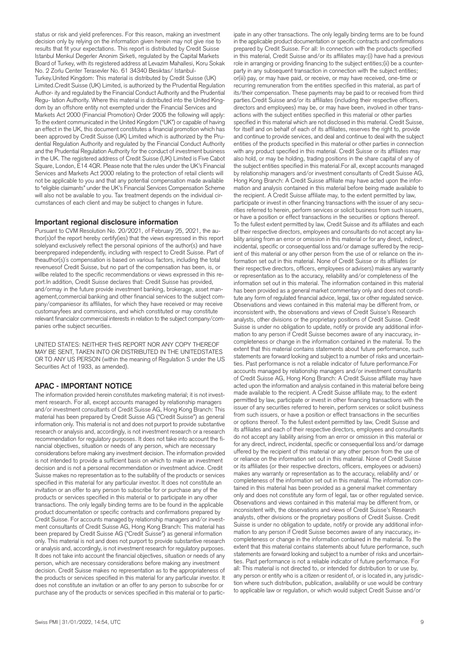status or risk and yield preferences. For this reason, making an investment decision only by relying on the information given herein may not give rise to results that fit your expectations. This report is distributed by Credit Suisse Istanbul Menkul Degerler Anonim Sirketi, regulated by the Capital Markets Board of Turkey, with its registered address at Levazim Mahallesi, Koru Sokak No. 2 Zorlu Center Terasevler No. 61 34340 Besiktas/ Istanbul-Turkey.United Kingdom: This material is distributed by Credit Suisse (UK) Limited.Credit Suisse (UK) Limited, is authorized by the Prudential Regulation Author- ity and regulated by the Financial Conduct Authority and the Prudential Regu- lation Authority. Where this material is distributed into the United Kingdom by an offshore entity not exempted under the Financial Services and Markets Act 2000 (Financial Promotion) Order 2005 the following will apply: To the extent communicated in the United Kingdom ("UK") or capable of having an effect in the UK, this document constitutes a financial promotion which has been approved by Credit Suisse (UK) Limited which is authorized by the Prudential Regulation Authority and regulated by the Financial Conduct Authority and the Prudential Regulation Authority for the conduct of investment business in the UK. The registered address of Credit Suisse (UK) Limited is Five Cabot Square, London, E14 4QR. Please note that the rules under the UK's Financial Services and Markets Act 2000 relating to the protection of retail clients will not be applicable to you and that any potential compensation made available to "eligible claimants" under the UK's Financial Services Compensation Scheme will also not be available to you. Tax treatment depends on the individual circumstances of each client and may be subject to changes in future.

#### **Important regional disclosure information**

Pursuant to CVM Resolution No. 20/2021, of February 25, 2021, the author(s)of the report hereby certify(ies) that the views expressed in this report solelyand exclusively reflect the personal opinions of the author(s) and have beenprepared independently, including with respect to Credit Suisse. Part of theauthor(s)´s compensation is based on various factors, including the total revenuesof Credit Suisse, but no part of the compensation has been, is, or willbe related to the specific recommendations or views expressed in this report.In addition, Credit Suisse declares that: Credit Suisse has provided, and/ormay in the future provide investment banking, brokerage, asset management,commercial banking and other financial services to the subject company/companiesor its affiliates, for which they have received or may receive customaryfees and commissions, and which constituted or may constitute relevant financialor commercial interests in relation to the subject company/companies orthe subject securities.

UNITED STATES: NEITHER THIS REPORT NOR ANY COPY THEREOF MAY BE SENT, TAKEN INTO OR DISTRIBUTED IN THE UNITEDSTATES OR TO ANY US PERSON (within the meaning of Regulation S under the US Securities Act of 1933, as amended).

#### **APAC - IMPORTANT NOTICE**

The information provided herein constitutes marketing material; it is not investment research. For all, except accounts managed by relationship managers and/or investment consultants of Credit Suisse AG, Hong Kong Branch: This material has been prepared by Credit Suisse AG ("Credit Suisse") as general information only. This material is not and does not purport to provide substantive research or analysis and, accordingly, is not investment research or a research recommendation for regulatory purposes. It does not take into account the financial objectives, situation or needs of any person, which are necessary considerations before making any investment decision. The information provided is not intended to provide a sufficient basis on which to make an investment decision and is not a personal recommendation or investment advice. Credit Suisse makes no representation as to the suitability of the products or services specified in this material for any particular investor. It does not constitute an invitation or an offer to any person to subscribe for or purchase any of the products or services specified in this material or to participate in any other transactions. The only legally binding terms are to be found in the applicable product documentation or specific contracts and confirmations prepared by Credit Suisse. For accounts managed by relationship managers and/or investment consultants of Credit Suisse AG, Hong Kong Branch: This material has been prepared by Credit Suisse AG ("Credit Suisse") as general information only. This material is not and does not purport to provide substantive research or analysis and, accordingly, is not investment research for regulatory purposes. It does not take into account the financial objectives, situation or needs of any person, which are necessary considerations before making any investment decision. Credit Suisse makes no representation as to the appropriateness of the products or services specified in this material for any particular investor. It does not constitute an invitation or an offer to any person to subscribe for or purchase any of the products or services specified in this material or to partic-

in the applicable product documentation or specific contracts and confirmations prepared by Credit Suisse. For all: In connection with the products specified in this material, Credit Suisse and/or its affiliates may:(i) have had a previous role in arranging or providing financing to the subject entities;(ii) be a counterparty in any subsequent transaction in connection with the subject entities; or(iii) pay, or may have paid, or receive, or may have received, one-time or recurring remuneration from the entities specified in this material, as part of its/their compensation. These payments may be paid to or received from third parties.Credit Suisse and/or its affiliates (including their respective officers, directors and employees) may be, or may have been, involved in other transactions with the subject entities specified in this material or other parties specified in this material which are not disclosed in this material. Credit Suisse, for itself and on behalf of each of its affiliates, reserves the right to, provide and continue to provide services, and deal and continue to deal with the subject entities of the products specified in this material or other parties in connection with any product specified in this material. Credit Suisse or its affiliates may also hold, or may be holding, trading positions in the share capital of any of the subject entities specified in this material.For all, except accounts managed by relationship managers and/or investment consultants of Credit Suisse AG, Hong Kong Branch: A Credit Suisse affiliate may have acted upon the information and analysis contained in this material before being made available to the recipient. A Credit Suisse affiliate may, to the extent permitted by law, participate or invest in other financing transactions with the issuer of any securities referred to herein, perform services or solicit business from such issuers, or have a position or effect transactions in the securities or options thereof. To the fullest extent permitted by law, Credit Suisse and its affiliates and each of their respective directors, employees and consultants do not accept any liability arising from an error or omission in this material or for any direct, indirect, incidental, specific or consequential loss and/or damage suffered by the recipient of this material or any other person from the use of or reliance on the information set out in this material. None of Credit Suisse or its affiliates (or their respective directors, officers, employees or advisers) makes any warranty or representation as to the accuracy, reliability and/or completeness of the information set out in this material. The information contained in this material has been provided as a general market commentary only and does not constitute any form of regulated financial advice, legal, tax or other regulated service. Observations and views contained in this material may be different from, or inconsistent with, the observations and views of Credit Suisse's Research analysts, other divisions or the proprietary positions of Credit Suisse. Credit Suisse is under no obligation to update, notify or provide any additional information to any person if Credit Suisse becomes aware of any inaccuracy, incompleteness or change in the information contained in the material. To the extent that this material contains statements about future performance, such statements are forward looking and subject to a number of risks and uncertainties. Past performance is not a reliable indicator of future performance.For accounts managed by relationship managers and/or investment consultants of Credit Suisse AG, Hong Kong Branch: A Credit Suisse affiliate may have acted upon the information and analysis contained in this material before being made available to the recipient. A Credit Suisse affiliate may, to the extent permitted by law, participate or invest in other financing transactions with the issuer of any securities referred to herein, perform services or solicit business from such issuers, or have a position or effect transactions in the securities or options thereof. To the fullest extent permitted by law, Credit Suisse and its affiliates and each of their respective directors, employees and consultants do not accept any liability arising from an error or omission in this material or for any direct, indirect, incidental, specific or consequential loss and/or damage uffered by the recipient of this material or any other person from the use of or reliance on the information set out in this material. None of Credit Suisse or its affiliates (or their respective directors, officers, employees or advisers) makes any warranty or representation as to the accuracy, reliability and/ or completeness of the information set out in this material. The information contained in this material has been provided as a general market commentary only and does not constitute any form of legal, tax or other regulated service. Observations and views contained in this material may be different from, or inconsistent with, the observations and views of Credit Suisse's Research analysts, other divisions or the proprietary positions of Credit Suisse. Credit Suisse is under no obligation to update, notify or provide any additional information to any person if Credit Suisse becomes aware of any inaccuracy, incompleteness or change in the information contained in the material. To the extent that this material contains statements about future performance, such statements are forward looking and subject to a number of risks and uncertainties. Past performance is not a reliable indicator of future performance. For all: This material is not directed to, or intended for distribution to or use by, any person or entity who is a citizen or resident of, or is located in, any jurisdiction where such distribution, publication, availability or use would be contrary

to applicable law or regulation, or which would subject Credit Suisse and/or

ipate in any other transactions. The only legally binding terms are to be found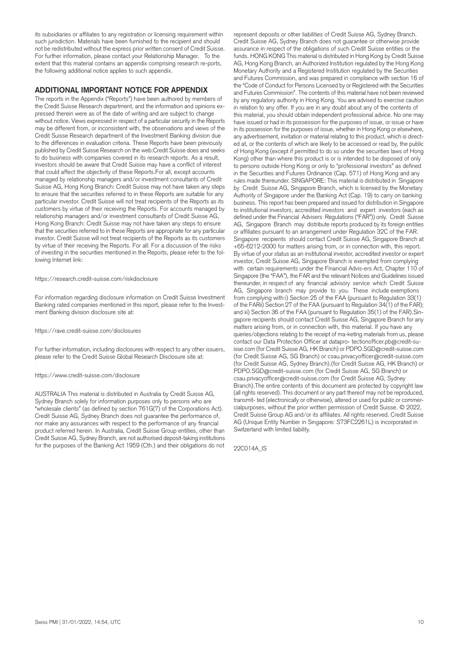its subsidiaries or affiliates to any registration or licensing requirement within such jurisdiction. Materials have been furnished to the recipient and should not be redistributed without the express prior written consent of Credit Suisse. For further information, please contact your Relationship Manager. To the extent that this material contains an appendix comprising research re-ports, the following additional notice applies to such appendix.

#### **ADDITIONAL IMPORTANT NOTICE FOR APPENDIX**

The reports in the Appendix ("Reports") have been authored by members of the Credit Suisse Research department, and the information and opinions expressed therein were as of the date of writing and are subject to change without notice. Views expressed in respect of a particular security in the Reports may be different from, or inconsistent with, the observations and views of the Credit Suisse Research department of the Investment Banking division due to the differences in evaluation criteria. These Reports have been previously published by Credit Suisse Research on the web:Credit Suisse does and seeks to do business with companies covered in its research reports. As a result, investors should be aware that Credit Suisse may have a conflict of interest that could affect the objectivity of these Reports.For all, except accounts managed by relationship managers and/or investment consultants of Credit Suisse AG, Hong Kong Branch: Credit Suisse may not have taken any steps to ensure that the securities referred to in these Reports are suitable for any particular investor. Credit Suisse will not treat recipients of the Reports as its customers by virtue of their receiving the Reports. For accounts managed by relationship managers and/or investment consultants of Credit Suisse AG, Hong Kong Branch: Credit Suisse may not have taken any steps to ensure that the securities referred to in these Reports are appropriate for any particular investor. Credit Suisse will not treat recipients of the Reports as its customers by virtue of their receiving the Reports. For all: For a discussion of the risks of investing in the securities mentioned in the Reports, please refer to the following Internet link:

#### https://research.credit-suisse.com/riskdisclosure

For information regarding disclosure information on Credit Suisse Investment Banking rated companies mentioned in this report, please refer to the Investment Banking division disclosure site at:

#### https://rave.credit-suisse.com/disclosures

For further information, including disclosures with respect to any other issuers, please refer to the Credit Suisse Global Research Disclosure site at:

#### https://www.credit-suisse.com/disclosure

AUSTRALIA This material is distributed in Australia by Credit Suisse AG, Sydney Branch solely for information purposes only to persons who are "wholesale clients" (as defined by section 761G(7) of the Corporations Act). Credit Suisse AG, Sydney Branch does not guarantee the performance of, nor make any assurances with respect to the performance of any financial product referred herein. In Australia, Credit Suisse Group entities, other than Credit Suisse AG, Sydney Branch, are not authorised deposit-taking institutions for the purposes of the Banking Act 1959 (Cth.) and their obligations do not

represent deposits or other liabilities of Credit Suisse AG, Sydney Branch. Credit Suisse AG, Sydney Branch does not guarantee or otherwise provide assurance in respect of the obligations of such Credit Suisse entities or the funds. HONG KONG This material is distributed in Hong Kong by Credit Suisse AG, Hong Kong Branch, an Authorized Institution regulated by the Hong Kong Monetary Authority and a Registered Institution regulated by the Securities and Futures Commission, and was prepared in compliance with section 16 of the "Code of Conduct for Persons Licensed by or Registered with the Securities and Futures Commission". The contents of this material have not been reviewed by any regulatory authority in Hong Kong. You are advised to exercise caution in relation to any offer. If you are in any doubt about any of the contents of this material, you should obtain independent professional advice. No one may have issued or had in its possession for the purposes of issue, or issue or have in its possession for the purposes of issue, whether in Hong Kong or elsewhere, any advertisement, invitation or material relating to this product, which is directed at, or the contents of which are likely to be accessed or read by, the public of Hong Kong (except if permitted to do so under the securities laws of Hong Kong) other than where this product is or is intended to be disposed of only to persons outside Hong Kong or only to "professional investors" as defined in the Securities and Futures Ordinance (Cap. 571) of Hong Kong and any rules made thereunder. SINGAPORE: This material is distributed in Singapore by Credit Suisse AG, Singapore Branch, which is licensed by the Monetary Authority of Singapore under the Banking Act (Cap. 19) to carry on banking business. This report has been prepared and issued for distribution in Singapore to institutional investors, accredited investors and expert investors (each as defined under the Financial Advisers Regulations ("FAR")) only. Credit Suisse AG, Singapore Branch may distribute reports produced by its foreign entities or affiliates pursuant to an arrangement under Regulation 32C of the FAR. Singapore recipients should contact Credit Suisse AG, Singapore Branch at +65-6212-2000 for matters arising from, or in connection with, this report. By virtue of your status as an institutional investor, accredited investor or expert investor, Credit Suisse AG, Singapore Branch is exempted from complying with certain requirements under the Financial Advis-ers Act, Chapter 110 of Singapore (the "FAA"), the FAR and the relevant Notices and Guidelines issued thereunder, in respect of any financial advisory service which Credit Suisse AG, Singapore branch may provide to you. These include exemptions from complying with:i) Section 25 of the FAA (pursuant to Regulation 33(1) of the FARii) Section 27 of the FAA (pursuant to Regulation 34(1) of the FAR); and iii) Section 36 of the FAA (pursuant to Regulation 35(1) of the FAR).Singapore recipients should contact Credit Suisse AG, Singapore Branch for any matters arising from, or in connection with, this material. If you have any queries/objections relating to the receipt of ma-keting materials from us, please contact our Data Protection Officer at datapro- tectionofficer.pb@credit-suisse.com (for Credit Suisse AG, HK Branch) or PDPO.SGD@credit-suisse.com (for Credit Suisse AG, SG Branch) or csau.privacyofficer@credit-suisse.com (for Credit Suisse AG, Sydney Branch).(for Credit Suisse AG, HK Branch) or PDPO.SGD@credit-suisse.com (for Credit Suisse AG, SG Branch) or csau.privacyofficer@credit-suisse.com (for Credit Suisse AG, Sydney Branch).The entire contents of this document are protected by copyright law (all rights reserved). This document or any part thereof may not be reproduced, transmit- ted (electronically or otherwise), altered or used for public or commercialpurposes, without the prior written permission of Credit Suisse. © 2022, Credit Suisse Group AG and/or its affiliates. All rights reserved. Credit Suisse AG (Unique Entity Number in Singapore: S73FC2261L) is incorporated in Switzerland with limited liability.

22C014A\_IS